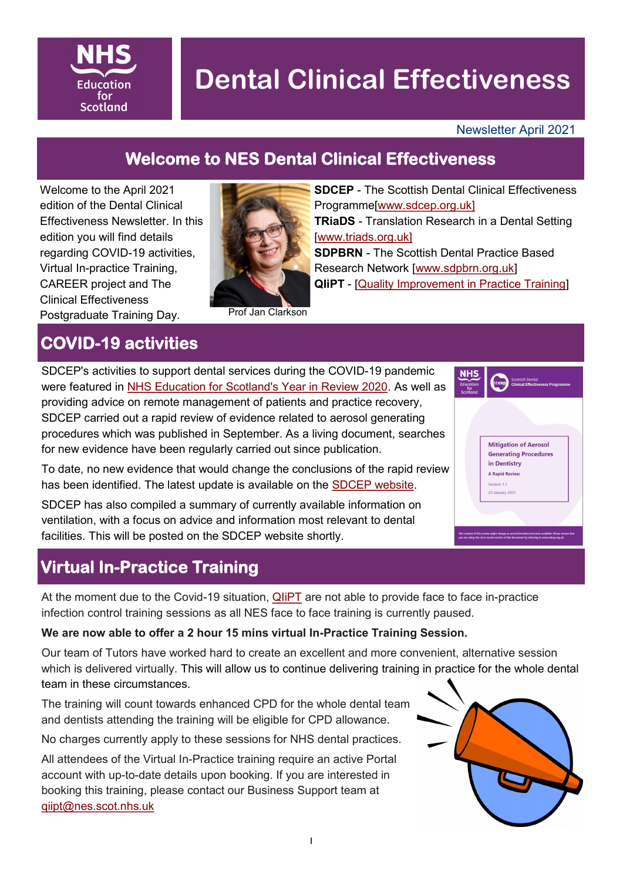

# **Dental Clinical Effectiveness**

#### Newsletter April 2021

**Mitigation of Aerosol Generating Procedures** in Dentistry **A Rapid Review** Version 11 25 January 2021

### **Welcome to NES Dental Clinical Effectiveness**

Welcome to the April 2021 edition of the Dental Clinical Effectiveness Newsletter. In this edition you will find details regarding COVID-19 activities, Virtual In-practice Training, CAREER project and The Clinical Effectiveness Postgraduate Training Day.



**SDCEP** - The Scottish Dental Clinical Effectiveness Programme[\[www.sdcep.org.uk\]](http://www.sdcep.org.uk) **TRiaDS** - Translation Research in a Dental Setting [[www.triads.org.uk\]](http://www.triads.org.uk) **SDPBRN** - The Scottish Dental Practice Based Research Network [\[www.sdpbrn.org.uk\]](http://www.sdpbrn.org.uk) **QIiPT** - [\[Quality Improvement in Practice Training\]](https://learn.nes.nhs.scot/3371/clinical-effectiveness/quality-improvement-in-practice-training-infection-control-and-decontamination)

### **COVID-19 activities**

SDCEP's activities to support dental services during the COVID-19 pandemic were featured in [NHS Education for Scotland's Year in Review 2020.](https://www.nes.scot.nhs.uk/about-us/year-in-review-2020/) As well as providing advice on remote management of patients and practice recovery, SDCEP carried out a rapid review of evidence related to aerosol generating procedures which was published in September. As a living document, searches for new evidence have been regularly carried out since publication.

To date, no new evidence that would change the conclusions of the rapid review has been identified. The latest update is available on the [SDCEP website.](https://www.sdcep.org.uk/published-guidance/covid-19-practice-recovery/rapid-review-of-agps/)

SDCEP has also compiled a summary of currently available information on ventilation, with a focus on advice and information most relevant to dental facilities. This will be posted on the SDCEP website shortly.

### **Virtual In-Practice Training**

At the moment due to the Covid-19 situation, **QIIPT** are not able to provide face to face in-practice infection control training sessions as all NES face to face training is currently paused.

#### **We are now able to offer a 2 hour 15 mins virtual In-Practice Training Session.**

Our team of Tutors have worked hard to create an excellent and more convenient, alternative session which is delivered virtually. This will allow us to continue delivering training in practice for the whole dental team in these circumstances.

The training will count towards enhanced CPD for the whole dental team and dentists attending the training will be eligible for CPD allowance.

No charges currently apply to these sessions for NHS dental practices.

All attendees of the Virtual In-Practice training require an active Portal account with up-to-date details upon booking. If you are interested in booking this training, please contact our Business Support team at [qiipt@nes.scot.nhs.uk](mailto:qiipt@nes.scot.nhs.uk)

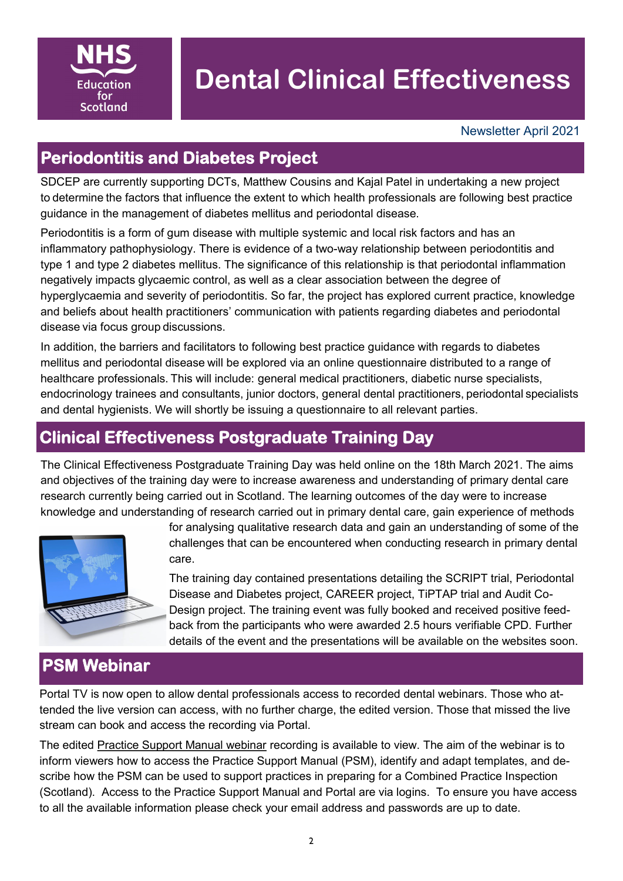

## **Dental Clinical Effectiveness**

### **Periodontitis and Diabetes Project**

SDCEP are currently supporting DCTs, Matthew Cousins and Kajal Patel in undertaking a new project to determine the factors that influence the extent to which health professionals are following best practice guidance in the management of diabetes mellitus and periodontal disease. 

Periodontitis is a form of gum disease with multiple systemic and local risk factors and has an inflammatory pathophysiology. There is evidence of a two-way relationship between periodontitis and type 1 and type 2 diabetes mellitus. The significance of this relationship is that periodontal inflammation negatively impacts glycaemic control, as well as a clear association between the degree of hyperglycaemia and severity of periodontitis. So far, the project has explored current practice, knowledge and beliefs about health practitioners' communication with patients regarding diabetes and periodontal disease via focus group discussions. 

In addition, the barriers and facilitators to following best practice guidance with regards to diabetes mellitus and periodontal disease will be explored via an online questionnaire distributed to a range of healthcare professionals. This will include: general medical practitioners, diabetic nurse specialists, endocrinology trainees and consultants, junior doctors, general dental practitioners, periodontal specialists and dental hygienists. We will shortly be issuing a questionnaire to all relevant parties.

#### **Clinical Effectiveness Postgraduate Training Day**

The Clinical Effectiveness Postgraduate Training Day was held online on the 18th March 2021. The aims and objectives of the training day were to increase awareness and understanding of primary dental care research currently being carried out in Scotland. The learning outcomes of the day were to increase knowledge and understanding of research carried out in primary dental care, gain experience of methods



for analysing qualitative research data and gain an understanding of some of the challenges that can be encountered when conducting research in primary dental care.

The training day contained presentations detailing the SCRIPT trial, Periodontal Disease and Diabetes project, CAREER project, TiPTAP trial and Audit Co-Design project. The training event was fully booked and received positive feedback from the participants who were awarded 2.5 hours verifiable CPD. Further details of the event and the presentations will be available on the websites soon.

#### **PSM Webinar**

Portal TV is now open to allow dental professionals access to recorded dental webinars. Those who attended the live version can access, with no further charge, the edited version. Those that missed the live stream can book and access the recording via Portal.

The edited [Practice Support Manual webinar](https://learn.nes.nhs.scot/39695/dental-cpd/educational-resources/practice-support-manual-webinar) recording is available to view. The aim of the webinar is to inform viewers how to access the Practice Support Manual (PSM), identify and adapt templates, and describe how the PSM can be used to support practices in preparing for a Combined Practice Inspection (Scotland). Access to the Practice Support Manual and Portal are via logins. To ensure you have access to all the available information please check your email address and passwords are up to date.